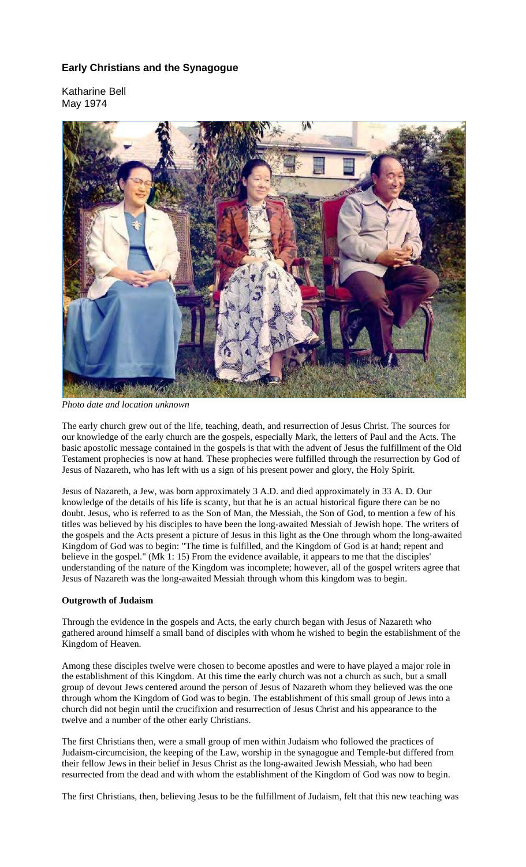# **Early Christians and the Synagogue**

Katharine Bell May 1974



*Photo date and location unknown*

The early church grew out of the life, teaching, death, and resurrection of Jesus Christ. The sources for our knowledge of the early church are the gospels, especially Mark, the letters of Paul and the Acts. The basic apostolic message contained in the gospels is that with the advent of Jesus the fulfillment of the Old Testament prophecies is now at hand. These prophecies were fulfilled through the resurrection by God of Jesus of Nazareth, who has left with us a sign of his present power and glory, the Holy Spirit.

Jesus of Nazareth, a Jew, was born approximately 3 A.D. and died approximately in 33 A. D. Our knowledge of the details of his life is scanty, but that he is an actual historical figure there can be no doubt. Jesus, who is referred to as the Son of Man, the Messiah, the Son of God, to mention a few of his titles was believed by his disciples to have been the long-awaited Messiah of Jewish hope. The writers of the gospels and the Acts present a picture of Jesus in this light as the One through whom the long-awaited Kingdom of God was to begin: "The time is fulfilled, and the Kingdom of God is at hand; repent and believe in the gospel." (Mk 1: 15) From the evidence available, it appears to me that the disciples' understanding of the nature of the Kingdom was incomplete; however, all of the gospel writers agree that Jesus of Nazareth was the long-awaited Messiah through whom this kingdom was to begin.

## **Outgrowth of Judaism**

Through the evidence in the gospels and Acts, the early church began with Jesus of Nazareth who gathered around himself a small band of disciples with whom he wished to begin the establishment of the Kingdom of Heaven.

Among these disciples twelve were chosen to become apostles and were to have played a major role in the establishment of this Kingdom. At this time the early church was not a church as such, but a small group of devout Jews centered around the person of Jesus of Nazareth whom they believed was the one through whom the Kingdom of God was to begin. The establishment of this small group of Jews into a church did not begin until the crucifixion and resurrection of Jesus Christ and his appearance to the twelve and a number of the other early Christians.

The first Christians then, were a small group of men within Judaism who followed the practices of Judaism-circumcision, the keeping of the Law, worship in the synagogue and Temple-but differed from their fellow Jews in their belief in Jesus Christ as the long-awaited Jewish Messiah, who had been resurrected from the dead and with whom the establishment of the Kingdom of God was now to begin.

The first Christians, then, believing Jesus to be the fulfillment of Judaism, felt that this new teaching was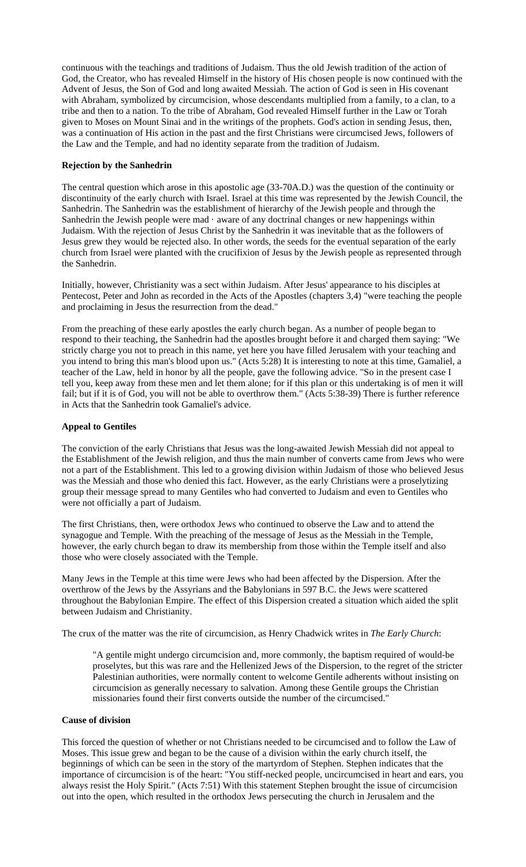continuous with the teachings and traditions of Judaism. Thus the old Jewish tradition of the action of God, the Creator, who has revealed Himself in the history of His chosen people is now continued with the Advent of Jesus, the Son of God and long awaited Messiah. The action of God is seen in His covenant with Abraham, symbolized by circumcision, whose descendants multiplied from a family, to a clan, to a tribe and then to a nation. To the tribe of Abraham, God revealed Himself further in the Law or Torah given to Moses on Mount Sinai and in the writings of the prophets. God's action in sending Jesus, then, was a continuation of His action in the past and the first Christians were circumcised Jews, followers of the Law and the Temple, and had no identity separate from the tradition of Judaism.

## **Rejection by the Sanhedrin**

The central question which arose in this apostolic age (33-70A.D.) was the question of the continuity or discontinuity of the early church with Israel. Israel at this time was represented by the Jewish Council, the Sanhedrin. The Sanhedrin was the establishment of hierarchy of the Jewish people and through the Sanhedrin the Jewish people were mad · aware of any doctrinal changes or new happenings within Judaism. With the rejection of Jesus Christ by the Sanhedrin it was inevitable that as the followers of Jesus grew they would be rejected also. In other words, the seeds for the eventual separation of the early church from Israel were planted with the crucifixion of Jesus by the Jewish people as represented through the Sanhedrin.

Initially, however, Christianity was a sect within Judaism. After Jesus' appearance to his disciples at Pentecost, Peter and John as recorded in the Acts of the Apostles (chapters 3,4) "were teaching the people and proclaiming in Jesus the resurrection from the dead."

From the preaching of these early apostles the early church began. As a number of people began to respond to their teaching, the Sanhedrin had the apostles brought before it and charged them saying: "We strictly charge you not to preach in this name, yet here you have filled Jerusalem with your teaching and you intend to bring this man's blood upon us." (Acts 5:28) It is interesting to note at this time, Gamaliel, a teacher of the Law, held in honor by all the people, gave the following advice. "So in the present case I tell you, keep away from these men and let them alone; for if this plan or this undertaking is of men it will fail; but if it is of God, you will not be able to overthrow them." (Acts 5:38-39) There is further reference in Acts that the Sanhedrin took Gamaliel's advice.

#### **Appeal to Gentiles**

The conviction of the early Christians that Jesus was the long-awaited Jewish Messiah did not appeal to the Establishment of the Jewish religion, and thus the main number of converts came from Jews who were not a part of the Establishment. This led to a growing division within Judaism of those who believed Jesus was the Messiah and those who denied this fact. However, as the early Christians were a proselytizing group their message spread to many Gentiles who had converted to Judaism and even to Gentiles who were not officially a part of Judaism.

The first Christians, then, were orthodox Jews who continued to observe the Law and to attend the synagogue and Temple. With the preaching of the message of Jesus as the Messiah in the Temple, however, the early church began to draw its membership from those within the Temple itself and also those who were closely associated with the Temple.

Many Jews in the Temple at this time were Jews who had been affected by the Dispersion. After the overthrow of the Jews by the Assyrians and the Babylonians in 597 B.C. the Jews were scattered throughout the Babylonian Empire. The effect of this Dispersion created a situation which aided the split between Judaism and Christianity.

The crux of the matter was the rite of circumcision, as Henry Chadwick writes in *The Early Church*:

"A gentile might undergo circumcision and, more commonly, the baptism required of would-be proselytes, but this was rare and the Hellenized Jews of the Dispersion, to the regret of the stricter Palestinian authorities, were normally content to welcome Gentile adherents without insisting on circumcision as generally necessary to salvation. Among these Gentile groups the Christian missionaries found their first converts outside the number of the circumcised."

#### **Cause of division**

This forced the question of whether or not Christians needed to be circumcised and to follow the Law of Moses. This issue grew and began to be the cause of a division within the early church itself, the beginnings of which can be seen in the story of the martyrdom of Stephen. Stephen indicates that the importance of circumcision is of the heart: "You stiff-necked people, uncircumcised in heart and ears, you always resist the Holy Spirit." (Acts 7:51) With this statement Stephen brought the issue of circumcision out into the open, which resulted in the orthodox Jews persecuting the church in Jerusalem and the